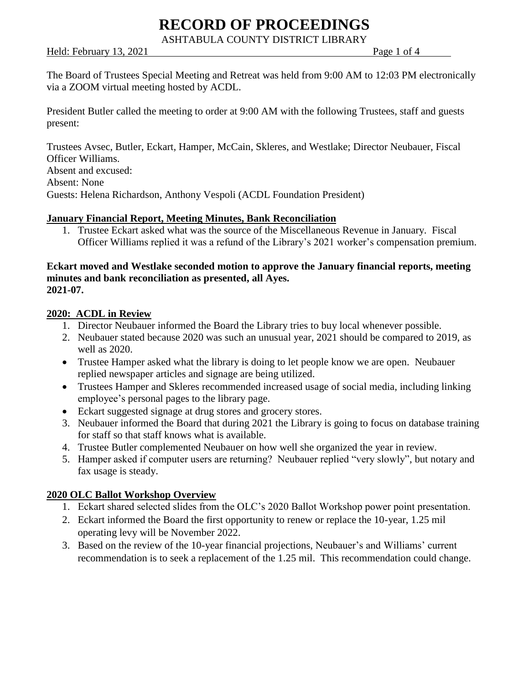ASHTABULA COUNTY DISTRICT LIBRARY

#### Held: February 13, 2021 **Page 1 of 4** Page 1 of 4

The Board of Trustees Special Meeting and Retreat was held from 9:00 AM to 12:03 PM electronically via a ZOOM virtual meeting hosted by ACDL.

President Butler called the meeting to order at 9:00 AM with the following Trustees, staff and guests present:

Trustees Avsec, Butler, Eckart, Hamper, McCain, Skleres, and Westlake; Director Neubauer, Fiscal Officer Williams. Absent and excused: Absent: None Guests: Helena Richardson, Anthony Vespoli (ACDL Foundation President)

## **January Financial Report, Meeting Minutes, Bank Reconciliation**

1. Trustee Eckart asked what was the source of the Miscellaneous Revenue in January. Fiscal Officer Williams replied it was a refund of the Library's 2021 worker's compensation premium.

#### **Eckart moved and Westlake seconded motion to approve the January financial reports, meeting minutes and bank reconciliation as presented, all Ayes. 2021-07.**

#### **2020: ACDL in Review**

- 1. Director Neubauer informed the Board the Library tries to buy local whenever possible.
- 2. Neubauer stated because 2020 was such an unusual year, 2021 should be compared to 2019, as well as 2020.
- Trustee Hamper asked what the library is doing to let people know we are open. Neubauer replied newspaper articles and signage are being utilized.
- Trustees Hamper and Skleres recommended increased usage of social media, including linking employee's personal pages to the library page.
- Eckart suggested signage at drug stores and grocery stores.
- 3. Neubauer informed the Board that during 2021 the Library is going to focus on database training for staff so that staff knows what is available.
- 4. Trustee Butler complemented Neubauer on how well she organized the year in review.
- 5. Hamper asked if computer users are returning? Neubauer replied "very slowly", but notary and fax usage is steady.

## **2020 OLC Ballot Workshop Overview**

- 1. Eckart shared selected slides from the OLC's 2020 Ballot Workshop power point presentation.
- 2. Eckart informed the Board the first opportunity to renew or replace the 10-year, 1.25 mil operating levy will be November 2022.
- 3. Based on the review of the 10-year financial projections, Neubauer's and Williams' current recommendation is to seek a replacement of the 1.25 mil. This recommendation could change.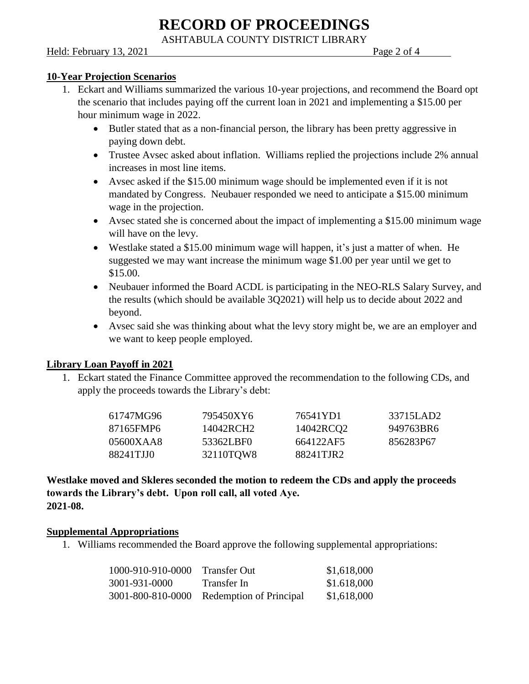ASHTABULA COUNTY DISTRICT LIBRARY

Held: February 13, 2021 **Page 2 of 4** Page 2 of 4

## **10-Year Projection Scenarios**

- 1. Eckart and Williams summarized the various 10-year projections, and recommend the Board opt the scenario that includes paying off the current loan in 2021 and implementing a \$15.00 per hour minimum wage in 2022.
	- Butler stated that as a non-financial person, the library has been pretty aggressive in paying down debt.
	- Trustee Avsec asked about inflation. Williams replied the projections include 2% annual increases in most line items.
	- Avsec asked if the \$15.00 minimum wage should be implemented even if it is not mandated by Congress. Neubauer responded we need to anticipate a \$15.00 minimum wage in the projection.
	- Avsec stated she is concerned about the impact of implementing a \$15.00 minimum wage will have on the levy.
	- Westlake stated a \$15.00 minimum wage will happen, it's just a matter of when. He suggested we may want increase the minimum wage \$1.00 per year until we get to \$15.00.
	- Neubauer informed the Board ACDL is participating in the NEO-RLS Salary Survey, and the results (which should be available 3Q2021) will help us to decide about 2022 and beyond.
	- Avsec said she was thinking about what the levy story might be, we are an employer and we want to keep people employed.

#### **Library Loan Payoff in 2021**

1. Eckart stated the Finance Committee approved the recommendation to the following CDs, and apply the proceeds towards the Library's debt:

| 61747MG96 | 795450XY6 | 76541YD1  | 33715LAD2 |
|-----------|-----------|-----------|-----------|
| 87165FMP6 | 14042RCH2 | 14042RCQ2 | 949763BR6 |
| 05600XAA8 | 53362LBF0 | 664122AF5 | 856283P67 |
| 88241TJJ0 | 32110TQW8 | 88241TJR2 |           |

**Westlake moved and Skleres seconded the motion to redeem the CDs and apply the proceeds towards the Library's debt. Upon roll call, all voted Aye. 2021-08.**

#### **Supplemental Appropriations**

1. Williams recommended the Board approve the following supplemental appropriations:

| 1000-910-910-0000 | <b>Transfer Out</b>     | \$1,618,000 |
|-------------------|-------------------------|-------------|
| 3001-931-0000     | Transfer In             | \$1.618,000 |
| 3001-800-810-0000 | Redemption of Principal | \$1,618,000 |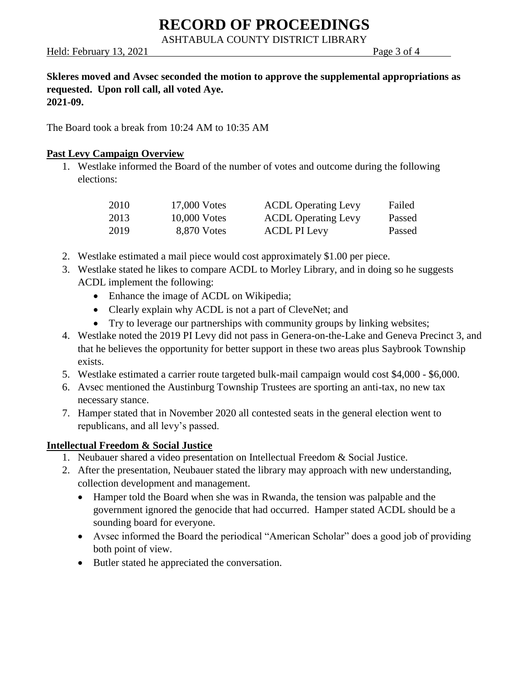ASHTABULA COUNTY DISTRICT LIBRARY

Held: February 13, 2021 **Page 3 of 4** 

### **Skleres moved and Avsec seconded the motion to approve the supplemental appropriations as requested. Upon roll call, all voted Aye. 2021-09.**

The Board took a break from 10:24 AM to 10:35 AM

## **Past Levy Campaign Overview**

1. Westlake informed the Board of the number of votes and outcome during the following elections:

| 2010 | 17,000 Votes   | <b>ACDL Operating Levy</b> | Failed |
|------|----------------|----------------------------|--------|
| 2013 | $10,000$ Votes | <b>ACDL Operating Levy</b> | Passed |
| 2019 | 8,870 Votes    | ACDL PI Levy               | Passed |

- 2. Westlake estimated a mail piece would cost approximately \$1.00 per piece.
- 3. Westlake stated he likes to compare ACDL to Morley Library, and in doing so he suggests ACDL implement the following:
	- Enhance the image of ACDL on Wikipedia;
	- Clearly explain why ACDL is not a part of CleveNet; and
	- Try to leverage our partnerships with community groups by linking websites;
- 4. Westlake noted the 2019 PI Levy did not pass in Genera-on-the-Lake and Geneva Precinct 3, and that he believes the opportunity for better support in these two areas plus Saybrook Township exists.
- 5. Westlake estimated a carrier route targeted bulk-mail campaign would cost \$4,000 \$6,000.
- 6. Avsec mentioned the Austinburg Township Trustees are sporting an anti-tax, no new tax necessary stance.
- 7. Hamper stated that in November 2020 all contested seats in the general election went to republicans, and all levy's passed.

#### **Intellectual Freedom & Social Justice**

- 1. Neubauer shared a video presentation on Intellectual Freedom & Social Justice.
- 2. After the presentation, Neubauer stated the library may approach with new understanding, collection development and management.
	- Hamper told the Board when she was in Rwanda, the tension was palpable and the government ignored the genocide that had occurred. Hamper stated ACDL should be a sounding board for everyone.
	- Avsec informed the Board the periodical "American Scholar" does a good job of providing both point of view.
	- Butler stated he appreciated the conversation.